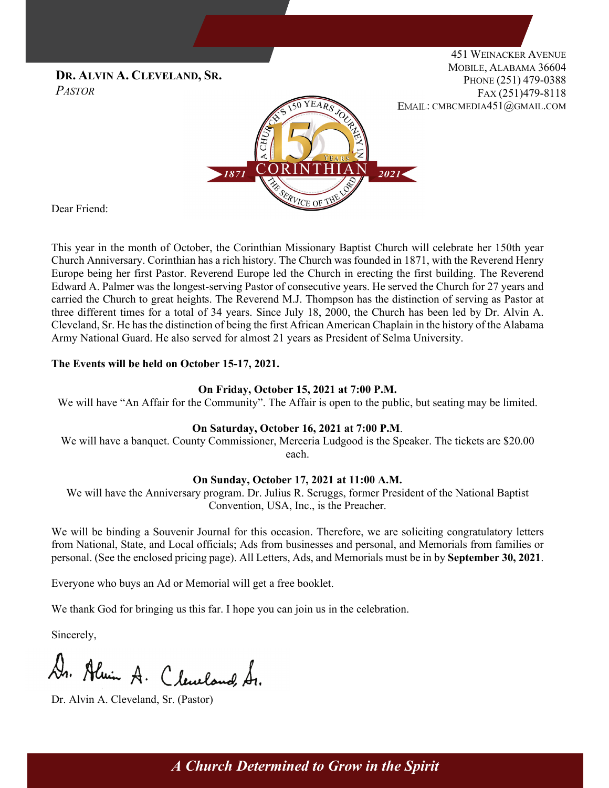

Dear Friend:

This year in the month of October, the Corinthian Missionary Baptist Church will celebrate her 150th year Church Anniversary. Corinthian has a rich history. The Church was founded in 1871, with the Reverend Henry Europe being her first Pastor. Reverend Europe led the Church in erecting the first building. The Reverend Edward A. Palmer was the longest-serving Pastor of consecutive years. He served the Church for 27 years and carried the Church to great heights. The Reverend M.J. Thompson has the distinction of serving as Pastor at three different times for a total of 34 years. Since July 18, 2000, the Church has been led by Dr. Alvin A. Cleveland, Sr. He has the distinction of being the first African American Chaplain in the history of the Alabama Army National Guard. He also served for almost 21 years as President of Selma University.

## **The Events will be held on October 15-17, 2021.**

### **On Friday, October 15, 2021 at 7:00 P.M.**

We will have "An Affair for the Community". The Affair is open to the public, but seating may be limited.

## **On Saturday, October 16, 2021 at 7:00 P.M**.

We will have a banquet. County Commissioner, Merceria Ludgood is the Speaker. The tickets are \$20.00 each.

### **On Sunday, October 17, 2021 at 11:00 A.M.**

We will have the Anniversary program. Dr. Julius R. Scruggs, former President of the National Baptist Convention, USA, Inc., is the Preacher.

We will be binding a Souvenir Journal for this occasion. Therefore, we are soliciting congratulatory letters from National, State, and Local officials; Ads from businesses and personal, and Memorials from families or personal. (See the enclosed pricing page). All Letters, Ads, and Memorials must be in by **September 30, 2021**.

Everyone who buys an Ad or Memorial will get a free booklet.

We thank God for bringing us this far. I hope you can join us in the celebration.

Sincerely,

Dr. Almin A. Cleveland, Sr.

Dr. Alvin A. Cleveland, Sr. (Pastor)

*A Church Determined to Grow in the Spirit*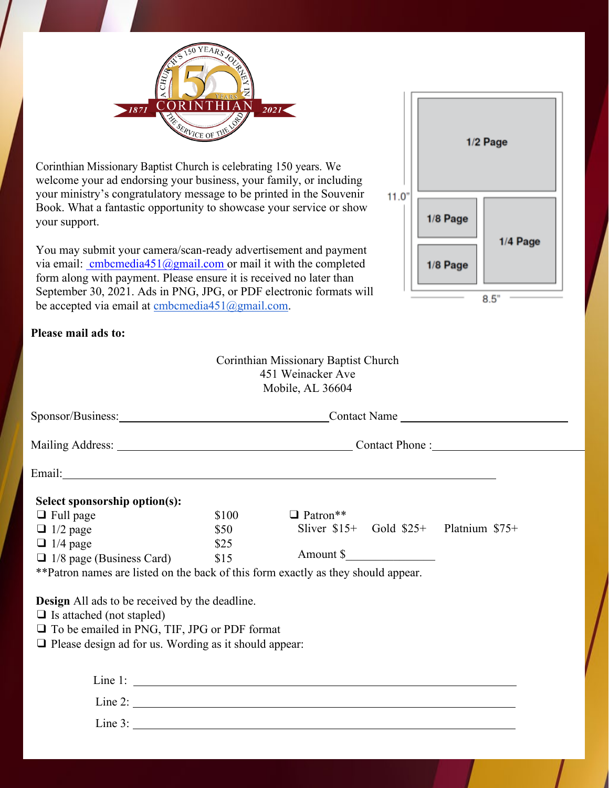

Corinthian Missionary Baptist Church is celebrating 150 years. We welcome your ad endorsing your business, your family, or including your ministry's congratulatory message to be printed in the Souvenir Book. What a fantastic opportunity to showcase your service or show your support.

You may submit your camera/scan-ready advertisement and payment via email:  $embedia451@gmail.com$  or mail it with the completed</u> form along with payment. Please ensure it is received no later than September 30, 2021. Ads in PNG, JPG, or PDF electronic formats will be accepted via email at [cmbcmedia451@gmail.com.](mailto:cmbcmedia451@gmail.com)

## **Please mail ads to:**

|       | 1/2 Page |          |  |
|-------|----------|----------|--|
| 11.0" | 1/8 Page | 1/4 Page |  |
|       | 1/8 Page |          |  |
| 8.5"  |          |          |  |

| Mobile, AL 36604                                             |       |                                                                                                                         |  |  |  |
|--------------------------------------------------------------|-------|-------------------------------------------------------------------------------------------------------------------------|--|--|--|
|                                                              |       | Contact Name                                                                                                            |  |  |  |
|                                                              |       |                                                                                                                         |  |  |  |
|                                                              |       | Email: <u>Finance Communication</u> Communication Communication Communication Communication Communication Communication |  |  |  |
| Select sponsorship option(s):                                |       |                                                                                                                         |  |  |  |
| $\Box$ Full page                                             | \$100 | $\Box$ Patron**                                                                                                         |  |  |  |
| $\Box$ 1/2 page                                              | \$50  | Sliver $$15+$ Gold $$25+$ Platnium $$75+$                                                                               |  |  |  |
| $\Box$ 1/4 page                                              | \$25  |                                                                                                                         |  |  |  |
| $\Box$ 1/8 page (Business Card)                              | \$15  |                                                                                                                         |  |  |  |
|                                                              |       | ** Patron names are listed on the back of this form exactly as they should appear.                                      |  |  |  |
| Design All ads to be received by the deadline.               |       |                                                                                                                         |  |  |  |
| $\Box$ Is attached (not stapled)                             |       |                                                                                                                         |  |  |  |
| $\Box$ To be emailed in PNG, TIF, JPG or PDF format          |       |                                                                                                                         |  |  |  |
| $\Box$ Please design ad for us. Wording as it should appear: |       |                                                                                                                         |  |  |  |
|                                                              |       |                                                                                                                         |  |  |  |
|                                                              |       |                                                                                                                         |  |  |  |
|                                                              |       | Line 2:                                                                                                                 |  |  |  |
|                                                              |       |                                                                                                                         |  |  |  |

Corinthian Missionary Baptist Church 451 Weinacker Ave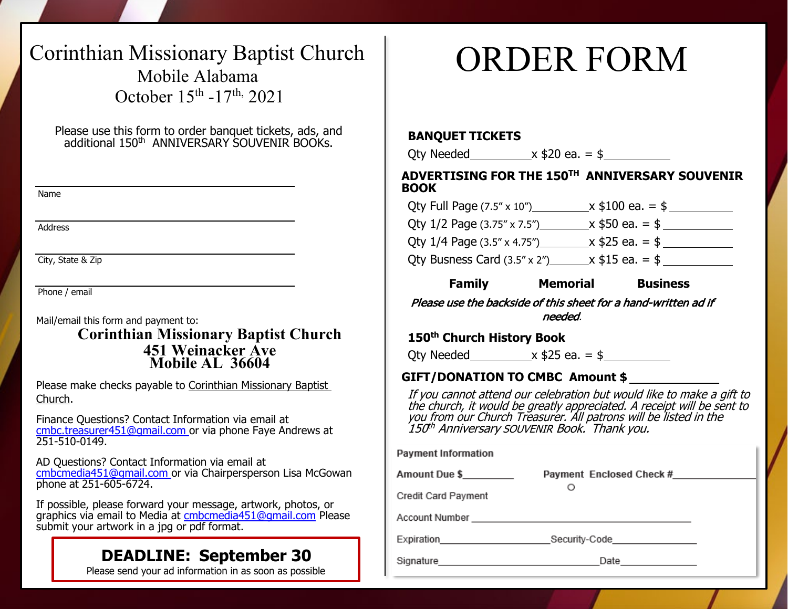## Corinthian Missionary Baptist Church Mobile Alabama October 15th -17th, 2021

Please use this form to order banquet tickets, ads, and additional 150th ANNIVERSARY SOUVENIR BOOKs.

Name

Address

City, State & Zip

Phone / email

Mail/email this form and payment to: **Corinthian Missionary Baptist Church 451 Weinacker Ave Mobile AL 36604**

Please make checks payable to Corinthian Missionary Baptist Church.

Finance Questions? Contact Information via email at [cmbc.treasurer451@gmail.com](mailto:cmbcmedia451@gmail.com) or via phone Faye Andrews at 251-510-0149.

AD Questions? Contact Information via email at [cmbcmedia451@gmail.com](mailto:cmbcmedia451@gmail.com) or via Chairpersperson Lisa McGowan phone at 251-605-6724.

If possible, please forward your message, artwork, photos, or graphics via email to Media at [cmbcmedia451@gmail.com](mailto:cmbcmedia451@gmail.com) Please submit your artwork in a jpg or pdf format.

## **DEADLINE: September 30**

Please send your ad information in as soon as possible

# ORDER FORM

## **BANQUET TICKETS**

Oty Needed  $x $20 ea. = $$ 

**ADVERTISING FOR THE 150TH ANNIVERSARY SOUVENIR BOOK** 

| <b>Family</b>                          | <b>Memorial</b> | <b>Business</b>   |  |
|----------------------------------------|-----------------|-------------------|--|
| Qty Busness Card (3.5" x 2")           |                 | $x $15 ea. = $$   |  |
| Qty 1/4 Page (3.5" x 4.75") ______     |                 | $x$ \$25 ea. = \$ |  |
| Qty $1/2$ Page $(3.75'' \times 7.5'')$ |                 | _x \$50 ea. = \$  |  |
| Qty Full Page (7.5" x 10")             |                 | $x $100$ ea. = \$ |  |

Please use the backside of this sheet for a hand-written ad if needed.

## **150th Church History Book**

Qty Needed  $x $25 ea. = $$ 

## **GIFT/DONATION TO CMBC Amount \$ \_\_\_\_\_\_\_\_\_\_\_\_\_\_\_**

If you cannot attend our celebration but would like to make a gift to the church, it would be greatly appreciated. A receipt will be sent to you from our Church Treasurer. All patrons will be listed in the 150th Anniversary SOUVENIR Book. Thank you.

| <b>Payment Information</b>   |                               |  |  |
|------------------------------|-------------------------------|--|--|
| Amount Due \$                | Payment Enclosed Check #      |  |  |
| Credit Card Payment          |                               |  |  |
|                              |                               |  |  |
| Expiration <b>Expiration</b> | Security-Code________________ |  |  |
|                              | Date ______________           |  |  |